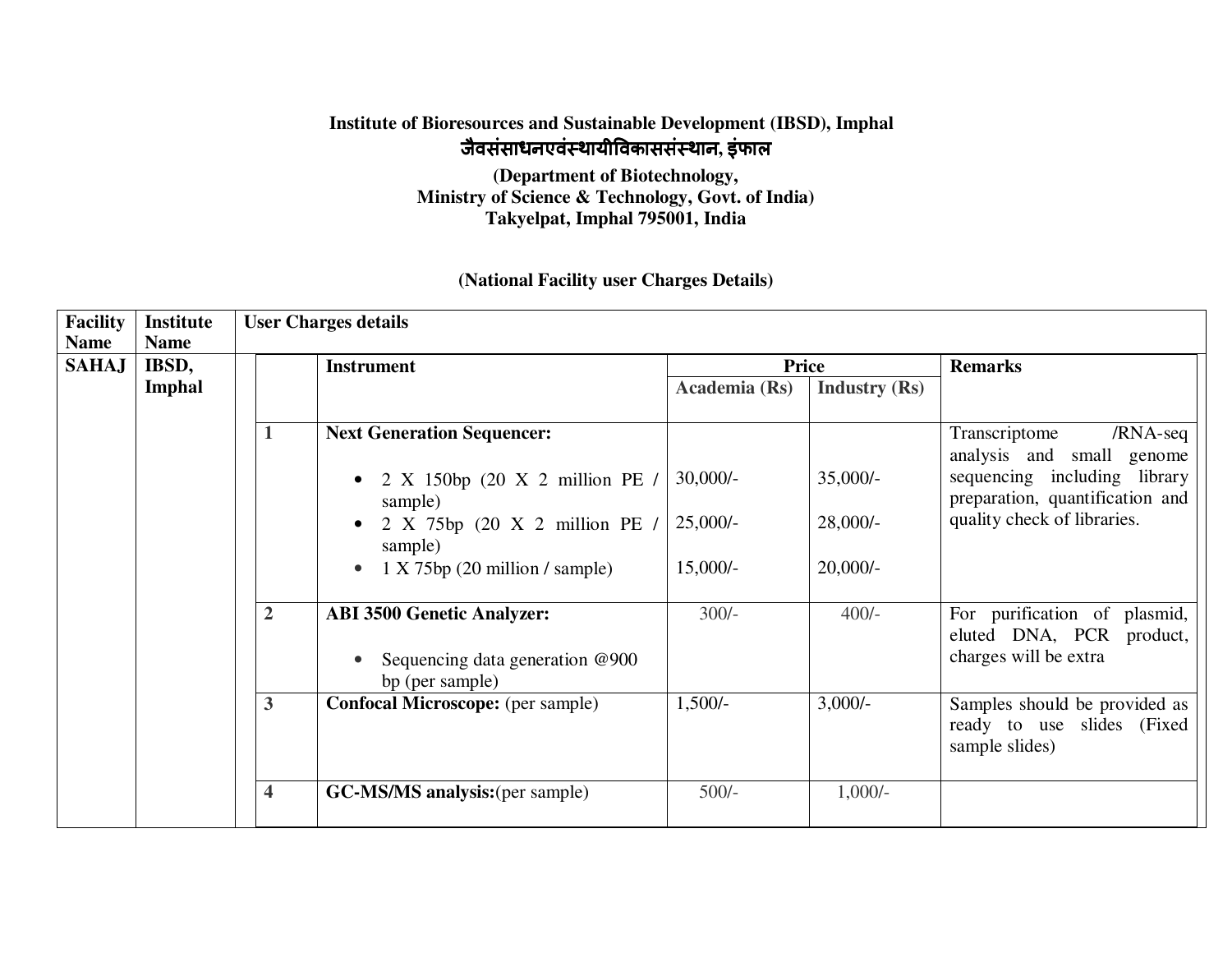## **Institute of Bioresources and Sustainable Development (IBSD), Imphal** जैवसंसाधनएवं थायीवकाससं थान**,** इंफाल

**(Department of Biotechnology, Ministry of Science & Technology, Govt. of India) Takyelpat, Imphal 795001, India** 

## **(National Facility user Charges Details)**

| <b>Facility</b><br><b>Name</b> | <b>Institute</b><br><b>Name</b> | <b>User Charges details</b> |                                                                                         |               |                      |                                                                                   |  |  |  |  |
|--------------------------------|---------------------------------|-----------------------------|-----------------------------------------------------------------------------------------|---------------|----------------------|-----------------------------------------------------------------------------------|--|--|--|--|
| <b>SAHAJ</b>                   | IBSD,                           | <b>Instrument</b>           |                                                                                         | <b>Price</b>  |                      | <b>Remarks</b>                                                                    |  |  |  |  |
|                                | <b>Imphal</b>                   |                             |                                                                                         | Academia (Rs) | <b>Industry (Rs)</b> |                                                                                   |  |  |  |  |
|                                |                                 |                             | <b>Next Generation Sequencer:</b>                                                       |               |                      | Transcriptome<br>/RNA-seq<br>analysis and small genome                            |  |  |  |  |
|                                |                                 |                             | 2 X 150bp (20 X 2 million PE /<br>$\bullet$<br>sample)                                  | $30,000/-$    | $35,000/-$           | sequencing including library<br>preparation, quantification and                   |  |  |  |  |
|                                |                                 |                             | 2 X 75bp (20 X 2 million PE /<br>sample)                                                | $25,000/-$    | $28,000/-$           | quality check of libraries.                                                       |  |  |  |  |
|                                |                                 |                             | $1 X 75bp$ (20 million / sample)<br>$\bullet$                                           | $15,000/-$    | $20,000/-$           |                                                                                   |  |  |  |  |
|                                |                                 | $\overline{2}$              | <b>ABI 3500 Genetic Analyzer:</b><br>Sequencing data generation @900<br>bp (per sample) | $300/-$       | $400/-$              | For purification of plasmid,<br>eluted DNA, PCR product,<br>charges will be extra |  |  |  |  |
|                                |                                 | $\mathbf{3}$                | <b>Confocal Microscope:</b> (per sample)                                                | $1,500/-$     | $3,000/-$            | Samples should be provided as<br>ready to use slides (Fixed<br>sample slides)     |  |  |  |  |
|                                |                                 | $\overline{\mathbf{4}}$     | <b>GC-MS/MS analysis:</b> (per sample)                                                  | $500/-$       | $1,000/-$            |                                                                                   |  |  |  |  |